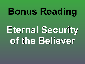# **Bonus Reading**

## **Eternal Security of the Believer**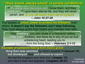### **"Once saved, always saved" is simply not Biblical.**

This speaks of **Jesus' power to protect his followers** from others. **It doesn't say the followers can't stop following.**  They must always guard their hearts and maintain their faith.

<sup>27</sup> My sheep hear my voice, and I know them, and they follow me. <sup>28</sup> I give them eternal life, and they will never perish, and no one will snatch them out of my hand. *– John 10:27-28*

**Example of someone falling from God's grace: King Saul was anointed** by God's prophet (*1 Samuel 10*), **but disobeyed** God **and refused to repent**. He had the kingdom torn from him (*chapter 15*) and died in fear and disgrace. (*chapters 28-31*) *Continued on next slide*

Holy brothers, you who share in a heavenly calling.... **Take care**, brothers, lest there be in any of you an evil, unbelieving heart, leading you to **fall away** from the living God. *– Hebrews 3:1-12*